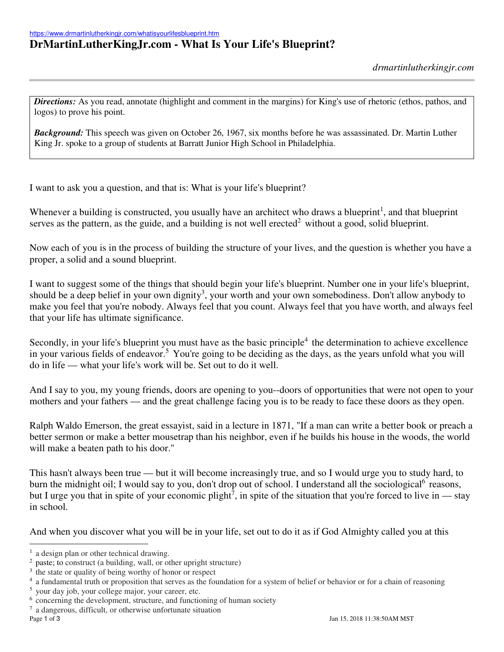## **DrMartinLutherKingJr.com - What Is Your Life's Blueprint?**

*Directions:* As you read, annotate (highlight and comment in the margins) for King's use of rhetoric (ethos, pathos, and logos) to prove his point.

*Background:* This speech was given on October 26, 1967, six months before he was assassinated. Dr. Martin Luther King Jr. spoke to a group of students at Barratt Junior High School in Philadelphia.

I want to ask you a question, and that is: What is your life's blueprint?

Whenever a building is constructed, you usually have an architect who draws a blueprint<sup>1</sup>, and that blueprint serves as the pattern, as the guide, and a building is not well erected<sup>2</sup> without a good, solid blueprint.

Now each of you is in the process of building the structure of your lives, and the question is whether you have a proper, a solid and a sound blueprint.

I want to suggest some of the things that should begin your life's blueprint. Number one in your life's blueprint, should be a deep belief in your own dignity<sup>3</sup>, your worth and your own somebodiness. Don't allow anybody to make you feel that you're nobody. Always feel that you count. Always feel that you have worth, and always feel that your life has ultimate significance.

Secondly, in your life's blueprint you must have as the basic principle<sup>4</sup> the determination to achieve excellence in your various fields of endeavor.<sup>5</sup> You're going to be deciding as the days, as the years unfold what you will do in life — what your life's work will be. Set out to do it well.

And I say to you, my young friends, doors are opening to you--doors of opportunities that were not open to your mothers and your fathers — and the great challenge facing you is to be ready to face these doors as they open.

Ralph Waldo Emerson, the great essayist, said in a lecture in 1871, "If a man can write a better book or preach a better sermon or make a better mousetrap than his neighbor, even if he builds his house in the woods, the world will make a beaten path to his door."

This hasn't always been true — but it will become increasingly true, and so I would urge you to study hard, to burn the midnight oil; I would say to you, don't drop out of school. I understand all the sociological<sup>6</sup> reasons, but I urge you that in spite of your economic plight<sup>7</sup>, in spite of the situation that you're forced to live in — stay in school.

And when you discover what you will be in your life, set out to do it as if God Almighty called you at this

 $\overline{a}$ <sup>1</sup> a design plan or other technical drawing.

 $2$  paste; to construct (a building, wall, or other upright structure)

<sup>&</sup>lt;sup>3</sup> the state or quality of being worthy of honor or respect

<sup>&</sup>lt;sup>4</sup> a fundamental truth or proposition that serves as the foundation for a system of belief or behavior or for a chain of reasoning

<sup>5</sup> your day job, your college major, your career, etc.

<sup>&</sup>lt;sup>6</sup> concerning the development, structure, and functioning of human society

<sup>7</sup> a dangerous, difficult, or otherwise unfortunate situation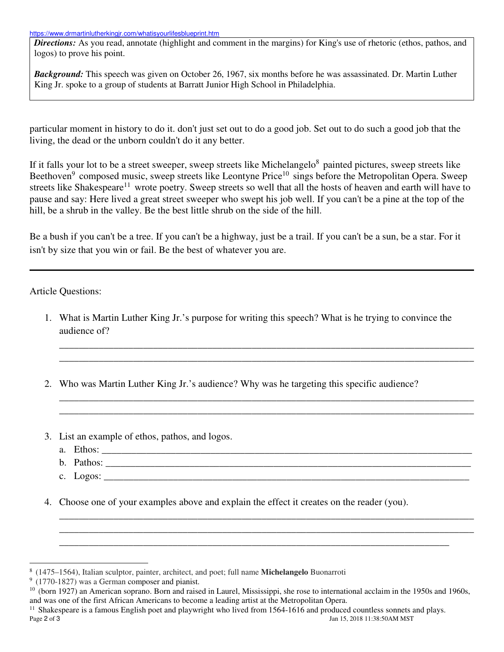*Directions:* As you read, annotate (highlight and comment in the margins) for King's use of rhetoric (ethos, pathos, and logos) to prove his point.

*Background:* This speech was given on October 26, 1967, six months before he was assassinated. Dr. Martin Luther King Jr. spoke to a group of students at Barratt Junior High School in Philadelphia.

particular moment in history to do it. don't just set out to do a good job. Set out to do such a good job that the living, the dead or the unborn couldn't do it any better.

If it falls your lot to be a street sweeper, sweep streets like Michelangelo<sup>8</sup> painted pictures, sweep streets like Beethoven<sup>9</sup> composed music, sweep streets like Leontyne Price<sup>10</sup> sings before the Metropolitan Opera. Sweep streets like Shakespeare<sup>11</sup> wrote poetry. Sweep streets so well that all the hosts of heaven and earth will have to pause and say: Here lived a great street sweeper who swept his job well. If you can't be a pine at the top of the hill, be a shrub in the valley. Be the best little shrub on the side of the hill.

Be a bush if you can't be a tree. If you can't be a highway, just be a trail. If you can't be a sun, be a star. For it isn't by size that you win or fail. Be the best of whatever you are.

Article Questions:

1. What is Martin Luther King Jr.'s purpose for writing this speech? What is he trying to convince the audience of?

\_\_\_\_\_\_\_\_\_\_\_\_\_\_\_\_\_\_\_\_\_\_\_\_\_\_\_\_\_\_\_\_\_\_\_\_\_\_\_\_\_\_\_\_\_\_\_\_\_\_\_\_\_\_\_\_\_\_\_\_\_\_\_\_\_\_\_\_\_\_\_\_\_\_\_\_\_\_\_\_\_\_\_\_ \_\_\_\_\_\_\_\_\_\_\_\_\_\_\_\_\_\_\_\_\_\_\_\_\_\_\_\_\_\_\_\_\_\_\_\_\_\_\_\_\_\_\_\_\_\_\_\_\_\_\_\_\_\_\_\_\_\_\_\_\_\_\_\_\_\_\_\_\_\_\_\_\_\_\_\_\_\_\_\_\_\_\_\_

\_\_\_\_\_\_\_\_\_\_\_\_\_\_\_\_\_\_\_\_\_\_\_\_\_\_\_\_\_\_\_\_\_\_\_\_\_\_\_\_\_\_\_\_\_\_\_\_\_\_\_\_\_\_\_\_\_\_\_\_\_\_\_\_\_\_\_\_\_\_\_\_\_\_\_\_\_\_\_\_\_\_\_\_ \_\_\_\_\_\_\_\_\_\_\_\_\_\_\_\_\_\_\_\_\_\_\_\_\_\_\_\_\_\_\_\_\_\_\_\_\_\_\_\_\_\_\_\_\_\_\_\_\_\_\_\_\_\_\_\_\_\_\_\_\_\_\_\_\_\_\_\_\_\_\_\_\_\_\_\_\_\_\_\_\_\_\_\_

\_\_\_\_\_\_\_\_\_\_\_\_\_\_\_\_\_\_\_\_\_\_\_\_\_\_\_\_\_\_\_\_\_\_\_\_\_\_\_\_\_\_\_\_\_\_\_\_\_\_\_\_\_\_\_\_\_\_\_\_\_\_\_\_\_\_\_\_\_\_\_\_\_\_\_\_\_\_\_\_\_\_\_\_ \_\_\_\_\_\_\_\_\_\_\_\_\_\_\_\_\_\_\_\_\_\_\_\_\_\_\_\_\_\_\_\_\_\_\_\_\_\_\_\_\_\_\_\_\_\_\_\_\_\_\_\_\_\_\_\_\_\_\_\_\_\_\_\_\_\_\_\_\_\_\_\_\_\_\_\_\_\_\_\_\_\_\_\_

- 2. Who was Martin Luther King Jr.'s audience? Why was he targeting this specific audience?
- 3. List an example of ethos, pathos, and logos.
	- a. Ethos: \_\_\_\_\_\_\_\_\_\_\_\_\_\_\_\_\_\_\_\_\_\_\_\_\_\_\_\_\_\_\_\_\_\_\_\_\_\_\_\_\_\_\_\_\_\_\_\_\_\_\_\_\_\_\_\_\_\_\_\_\_\_\_\_\_\_\_\_\_\_\_\_\_\_\_
	- b. Pathos:
	- c. Logos:
- 4. Choose one of your examples above and explain the effect it creates on the reader (you).

\_\_\_\_\_\_\_\_\_\_\_\_\_\_\_\_\_\_\_\_\_\_\_\_\_\_\_\_\_\_\_\_\_\_\_\_\_\_\_\_\_\_\_\_\_\_\_\_\_\_\_\_\_\_\_\_\_\_\_\_\_\_\_\_\_\_\_\_\_\_\_\_\_\_\_\_\_\_\_

 $\overline{a}$ 8 (1475–1564), Italian sculptor, painter, architect, and poet; full name **Michelangelo** Buonarroti

<sup>&</sup>lt;sup>9</sup> (1770-1827) was a German composer and pianist.

 $10$  (born 1927) an American soprano. Born and raised in Laurel, Mississippi, she rose to international acclaim in the 1950s and 1960s, and was one of the first African Americans to become a leading artist at the Metropolitan Opera.

Page 2 of 3 Jan 15, 2018 11:38:50AM MST  $<sup>11</sup>$  Shakespeare is a famous English poet and playwright who lived from 1564-1616 and produced countless sonnets and plays.</sup>